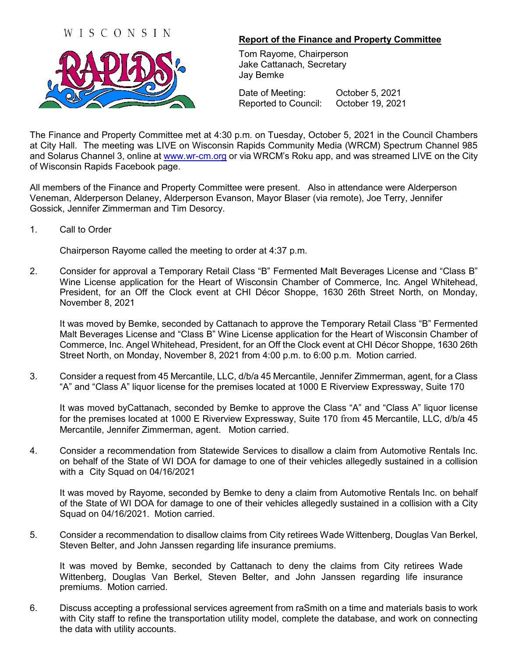## WISCONSIN



## **Report of the Finance and Property Committee**

Tom Rayome, Chairperson Jake Cattanach, Secretary Jay Bemke

Date of Meeting: **October 5, 2021** Reported to Council: October 19, 2021

The Finance and Property Committee met at 4:30 p.m. on Tuesday, October 5, 2021 in the Council Chambers at City Hall. The meeting was LIVE on Wisconsin Rapids Community Media (WRCM) Spectrum Channel 985 and Solarus Channel 3, online at [www.wr-cm.org](http://www.wr-cm.org/) or via WRCM's Roku app, and was streamed LIVE on the City of Wisconsin Rapids Facebook page.

All members of the Finance and Property Committee were present. Also in attendance were Alderperson Veneman, Alderperson Delaney, Alderperson Evanson, Mayor Blaser (via remote), Joe Terry, Jennifer Gossick, Jennifer Zimmerman and Tim Desorcy.

1. Call to Order

Chairperson Rayome called the meeting to order at 4:37 p.m.

2. Consider for approval a Temporary Retail Class "B" Fermented Malt Beverages License and "Class B" Wine License application for the Heart of Wisconsin Chamber of Commerce, Inc. Angel Whitehead, President, for an Off the Clock event at CHI Décor Shoppe, 1630 26th Street North, on Monday, November 8, 2021

It was moved by Bemke, seconded by Cattanach to approve the Temporary Retail Class "B" Fermented Malt Beverages License and "Class B" Wine License application for the Heart of Wisconsin Chamber of Commerce, Inc. Angel Whitehead, President, for an Off the Clock event at CHI Décor Shoppe, 1630 26th Street North, on Monday, November 8, 2021 from 4:00 p.m. to 6:00 p.m. Motion carried.

3. Consider a request from 45 Mercantile, LLC, d/b/a 45 Mercantile, Jennifer Zimmerman, agent, for a Class "A" and "Class A" liquor license for the premises located at 1000 E Riverview Expressway, Suite 170

It was moved byCattanach, seconded by Bemke to approve the Class "A" and "Class A" liquor license for the premises located at 1000 E Riverview Expressway, Suite 170 from 45 Mercantile, LLC, d/b/a 45 Mercantile, Jennifer Zimmerman, agent. Motion carried.

4. Consider a recommendation from Statewide Services to disallow a claim from Automotive Rentals Inc. on behalf of the State of WI DOA for damage to one of their vehicles allegedly sustained in a collision with a City Squad on 04/16/2021

It was moved by Rayome, seconded by Bemke to deny a claim from Automotive Rentals Inc. on behalf of the State of WI DOA for damage to one of their vehicles allegedly sustained in a collision with a City Squad on 04/16/2021. Motion carried.

5. Consider a recommendation to disallow claims from City retirees Wade Wittenberg, Douglas Van Berkel, Steven Belter, and John Janssen regarding life insurance premiums.

It was moved by Bemke, seconded by Cattanach to deny the claims from City retirees Wade Wittenberg, Douglas Van Berkel, Steven Belter, and John Janssen regarding life insurance premiums. Motion carried.

6. Discuss accepting a professional services agreement from raSmith on a time and materials basis to work with City staff to refine the transportation utility model, complete the database, and work on connecting the data with utility accounts.